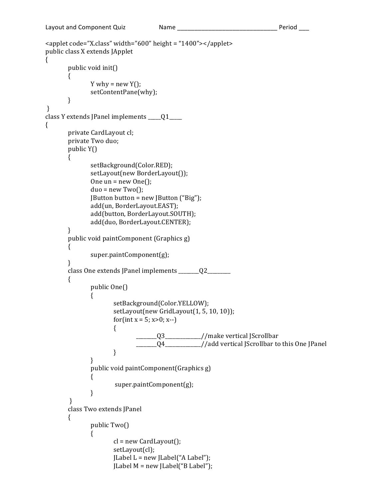```
<applet code="X.class" width="600" height = "1400"></applet>
public class X extends JApplet
{	
       public void init()
       {	
               Y why = new Y();
               setContentPane(why);	
       }
}	
class Y extends JPanel implements \qquad \qquad \overline{Q1}{	
       private CardLayout cl;
       private Two duo;
       public Y(){	
               setBackground(Color.RED);	
               setLayout(new BorderLayout());
               One un = new One);
               duo = new Two();
               JButton button = new JButton ("Big");
               add(un, BorderLayout.EAST);
               add(button, BorderLayout.SOUTH);
               add(duo, BorderLayout.CENTER);
       }	
       public void paintComponent (Graphics g)
       {	
               super.paintComponent(g);	
       }	
       class One extends JPanel implements _______Q2________
       {	
               public One()
               {	
                       setBackground(Color.YELLOW);	
                       setLayout(new GridLayout(1, 5, 10, 10));
                       for(int x = 5; x>0; x-)
                       {	
                               \frac{1}{2} Q3\frac{1}{2} //make vertical JScrollbar
                               ______Q4____________//add vertical JScrollbar to this One JPanel
                       }	
               }
               public void paintComponent(Graphics g)
               {
                       super.paintComponent(g);	
               }
        }	
       class Two extends JPanel
       {	
               public Two(){
                       cl = new CardLayout();
                       setLayout(cl);	
                       [Label L = new [Label" A Label"];JLabel M = new JLabel("B Label");
```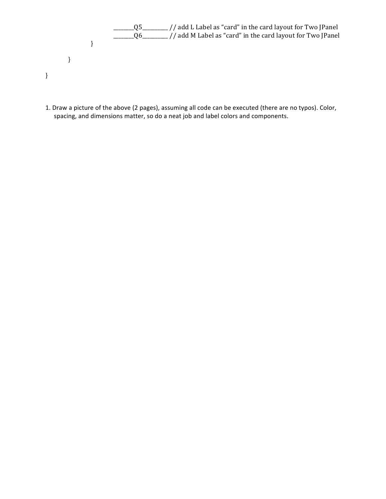- $\frac{1}{\frac{1}{\sqrt{2}}}\left(1-\frac{1}{\sqrt{2}}\right)$  and L Label as "card" in the card layout for Two JPanel  $\frac{1}{\frac{1}{\sqrt{1-\frac{1}{\sqrt{1-\frac{1}{\sqrt{1-\frac{1}{\sqrt{1-\frac{1}{\sqrt{1-\frac{1}{\sqrt{1-\frac{1}{\sqrt{1-\frac{1}{\sqrt{1-\frac{1}{\sqrt{1-\frac{1}{\sqrt{1-\frac{1}{\sqrt{1-\frac{1}{\sqrt{1-\frac{1}{\sqrt{1-\frac{1}{\sqrt{1-\frac{1}{\sqrt{1-\frac{1}{\sqrt{1-\frac{1}{\sqrt{1-\frac{1}{\sqrt{1-\frac{1}{\sqrt{1-\frac{1}{\sqrt{1-\frac{1}{\sqrt{1-\frac{1}{\sqrt{1-\frac{1}{\sqrt{1-\frac{1}{\sqrt{$ } } }
- 1. Draw a picture of the above (2 pages), assuming all code can be executed (there are no typos). Color, spacing, and dimensions matter, so do a neat job and label colors and components.